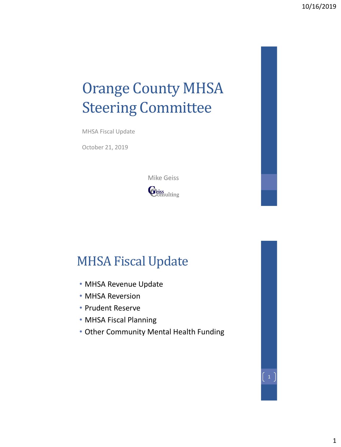# Orange County MHSA Steering Committee

MHSA Fiscal Update

October 21, 2019



## MHSA Fiscal Update

- MHSA Revenue Update
- MHSA Reversion
- Prudent Reserve
- MHSA Fiscal Planning
- Other Community Mental Health Funding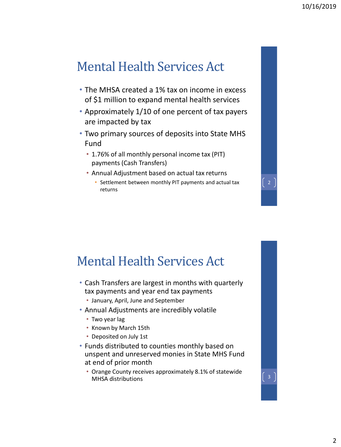### Mental Health Services Act

- The MHSA created a 1% tax on income in excess of \$1 million to expand mental health services
- Approximately 1/10 of one percent of tax payers are impacted by tax
- Two primary sources of deposits into State MHS Fund
	- 1.76% of all monthly personal income tax (PIT) payments (Cash Transfers)
	- Annual Adjustment based on actual tax returns
		- Settlement between monthly PIT payments and actual tax returns

#### Mental Health Services Act

- Cash Transfers are largest in months with quarterly tax payments and year end tax payments
	- January, April, June and September
- Annual Adjustments are incredibly volatile
	- Two year lag
	- Known by March 15th
	- Deposited on July 1st
- Funds distributed to counties monthly based on unspent and unreserved monies in State MHS Fund at end of prior month
	- Orange County receives approximately 8.1% of statewide Orange County receives approximately 6.1% or statewide<br>MHSA distributions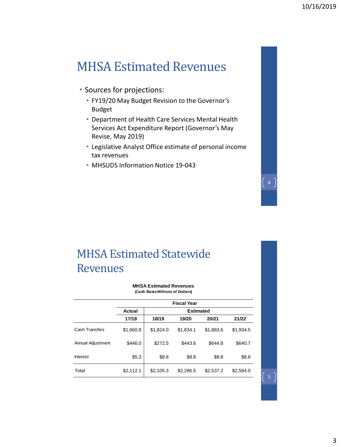#### MHSA Estimated Revenues

- Sources for projections:
	- FY19/20 May Budget Revision to the Governor's Budget
	- Department of Health Care Services Mental Health Services Act Expenditure Report (Governor's May Revise, May 2019)
	- Legislative Analyst Office estimate of personal income tax revenues
	- MHSUDS Information Notice 19-043

#### MHSA Estimated Statewide Revenues

**MHSA Estimated Revenues (Cash Basis-Millions of Dollars)**

|                   | <b>Fiscal Year</b> |                  |           |           |           |  |  |  |
|-------------------|--------------------|------------------|-----------|-----------|-----------|--|--|--|
|                   | Actual             | <b>Estimated</b> |           |           |           |  |  |  |
|                   | 17/18              | 18/19            | 19/20     | 20/21     | 21/22     |  |  |  |
| Cash Transfers    | \$1,660.8          | \$1,824.0        | \$1,834.1 | \$1,883.6 | \$1,934.5 |  |  |  |
| Annual Adjustment | \$446.0            | \$272.5          | \$443.6   | \$644.8   | \$640.7   |  |  |  |
| <b>Interest</b>   | \$5.3              | \$8.8            | \$8.8     | \$8.8     | \$8.8     |  |  |  |
| Total             | \$2,112.1          | \$2,105.3        | \$2,286.5 | \$2,537.2 | \$2,584.0 |  |  |  |

 $\begin{bmatrix} 5 \end{bmatrix}$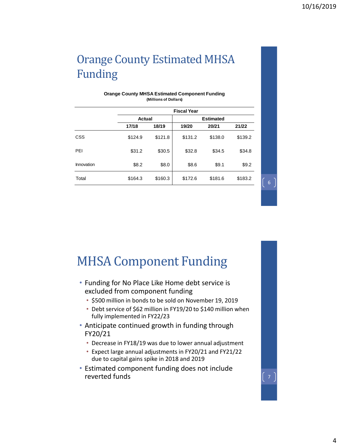### Orange County Estimated MHSA Funding

|            | <b>Fiscal Year</b> |         |                  |         |         |  |  |  |
|------------|--------------------|---------|------------------|---------|---------|--|--|--|
|            | Actual             |         | <b>Estimated</b> |         |         |  |  |  |
|            | 17/18              | 18/19   | 19/20            | 20/21   | 21/22   |  |  |  |
| CSS        | \$124.9            | \$121.8 | \$131.2          | \$138.0 | \$139.2 |  |  |  |
| PEI        | \$31.2             | \$30.5  | \$32.8           | \$34.5  | \$34.8  |  |  |  |
| Innovation | \$8.2              | \$8.0   | \$8.6            | \$9.1   | \$9.2   |  |  |  |
| Total      | \$164.3            | \$160.3 | \$172.6          | \$181.6 | \$183.2 |  |  |  |

#### **Orange County MHSA Estimated Component Funding (Millions of Dollars)**

MHSA Component Funding

- Funding for No Place Like Home debt service is excluded from component funding
	- \$500 million in bonds to be sold on November 19, 2019
	- Debt service of \$62 million in FY19/20 to \$140 million when fully implemented in FY22/23
- Anticipate continued growth in funding through FY20/21
	- Decrease in FY18/19 was due to lower annual adjustment
	- Expect large annual adjustments in FY20/21 and FY21/22 due to capital gains spike in 2018 and 2019
- Estimated component funding does not include reverted funds  $\begin{bmatrix} 7 \end{bmatrix}$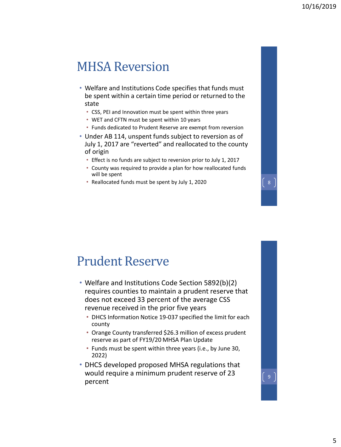#### MHSA Reversion

- Welfare and Institutions Code specifies that funds must be spent within a certain time period or returned to the state
	- CSS, PEI and Innovation must be spent within three years
	- WET and CFTN must be spent within 10 years
	- Funds dedicated to Prudent Reserve are exempt from reversion
- Under AB 114, unspent funds subject to reversion as of July 1, 2017 are "reverted" and reallocated to the county of origin
	- Effect is no funds are subject to reversion prior to July 1, 2017
	- County was required to provide a plan for how reallocated funds will be spent
	- Reallocated funds must be spent by July 1, 2020  $\left[8\right]$

#### Prudent Reserve

- Welfare and Institutions Code Section 5892(b)(2) requires counties to maintain a prudent reserve that does not exceed 33 percent of the average CSS revenue received in the prior five years
	- DHCS Information Notice 19-037 specified the limit for each county
	- Orange County transferred \$26.3 million of excess prudent reserve as part of FY19/20 MHSA Plan Update
	- Funds must be spent within three years (i.e., by June 30, 2022)
- DHCS developed proposed MHSA regulations that would require a minimum prudent reserve of 23 percent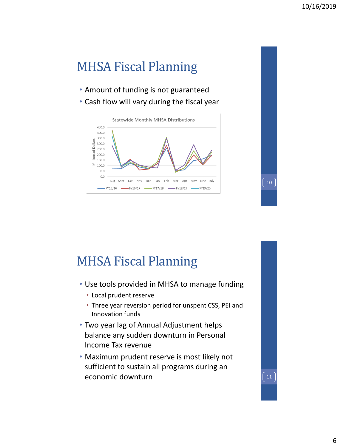# MHSA Fiscal Planning

- Amount of funding is not guaranteed
- Cash flow will vary during the fiscal year



MHSA Fiscal Planning

- Use tools provided in MHSA to manage funding
	- Local prudent reserve
	- Three year reversion period for unspent CSS, PEI and Innovation funds
- Two year lag of Annual Adjustment helps balance any sudden downturn in Personal Income Tax revenue
- Maximum prudent reserve is most likely not sufficient to sustain all programs during an economic downturn 111

10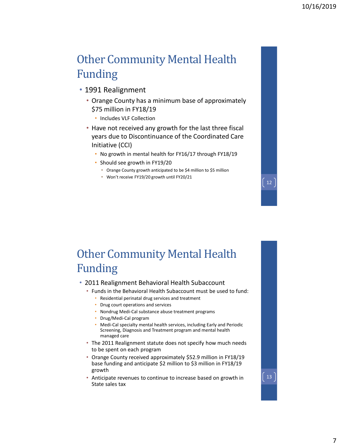#### Other Community Mental Health Funding

- 1991 Realignment
	- Orange County has a minimum base of approximately \$75 million in FY18/19
		- Includes VLF Collection
	- Have not received any growth for the last three fiscal years due to Discontinuance of the Coordinated Care Initiative (CCI)
		- No growth in mental health for FY16/17 through FY18/19
		- Should see growth in FY19/20
			- Orange County growth anticipated to be \$4 million to \$5 million
			- Won't receive FY19/20 growth until FY20/21

#### Other Community Mental Health Funding

- 2011 Realignment Behavioral Health Subaccount
	- Funds in the Behavioral Health Subaccount must be used to fund:
		- Residential perinatal drug services and treatment
		- Drug court operations and services
		- Nondrug Medi-Cal substance abuse treatment programs
		- Drug/Medi-Cal program
		- Medi-Cal specialty mental health services, including Early and Periodic Screening, Diagnosis and Treatment program and mental health managed care
	- The 2011 Realignment statute does not specify how much needs to be spent on each program
	- Orange County received approximately \$52.9 million in FY18/19 base funding and anticipate \$2 million to \$3 million in FY18/19 growth
	- Anticipate revenues to continue to increase based on growth in State sales tax

12